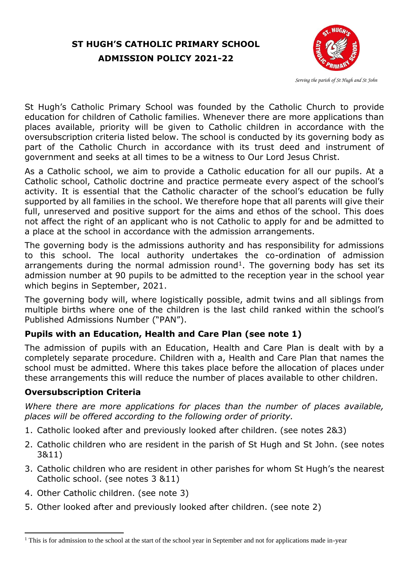# **ST HUGH'S CATHOLIC PRIMARY SCHOOL ADMISSION POLICY 2021-22**



 *Serving the parish of St Hugh and St John*

St Hugh's Catholic Primary School was founded by the Catholic Church to provide education for children of Catholic families. Whenever there are more applications than places available, priority will be given to Catholic children in accordance with the oversubscription criteria listed below. The school is conducted by its governing body as part of the Catholic Church in accordance with its trust deed and instrument of government and seeks at all times to be a witness to Our Lord Jesus Christ.

As a Catholic school, we aim to provide a Catholic education for all our pupils. At a Catholic school, Catholic doctrine and practice permeate every aspect of the school's activity. It is essential that the Catholic character of the school's education be fully supported by all families in the school. We therefore hope that all parents will give their full, unreserved and positive support for the aims and ethos of the school. This does not affect the right of an applicant who is not Catholic to apply for and be admitted to a place at the school in accordance with the admission arrangements.

The governing body is the admissions authority and has responsibility for admissions to this school. The local authority undertakes the co-ordination of admission arrangements during the normal admission round<sup>1</sup>. The governing body has set its admission number at 90 pupils to be admitted to the reception year in the school year which begins in September, 2021.

The governing body will, where logistically possible, admit twins and all siblings from multiple births where one of the children is the last child ranked within the school's Published Admissions Number ("PAN").

# **Pupils with an Education, Health and Care Plan (see note 1)**

The admission of pupils with an Education, Health and Care Plan is dealt with by a completely separate procedure. Children with a, Health and Care Plan that names the school must be admitted. Where this takes place before the allocation of places under these arrangements this will reduce the number of places available to other children.

### **Oversubscription Criteria**

*Where there are more applications for places than the number of places available, places will be offered according to the following order of priority.*

- 1. Catholic looked after and previously looked after children. (see notes 2&3)
- 2. Catholic children who are resident in the parish of St Hugh and St John. (see notes 3&11)
- 3. Catholic children who are resident in other parishes for whom St Hugh's the nearest Catholic school. (see notes 3 &11)
- 4. Other Catholic children. (see note 3)
- 5. Other looked after and previously looked after children. (see note 2)

**<sup>.</sup>**  $<sup>1</sup>$  This is for admission to the school at the start of the school year in September and not for applications made in-year</sup>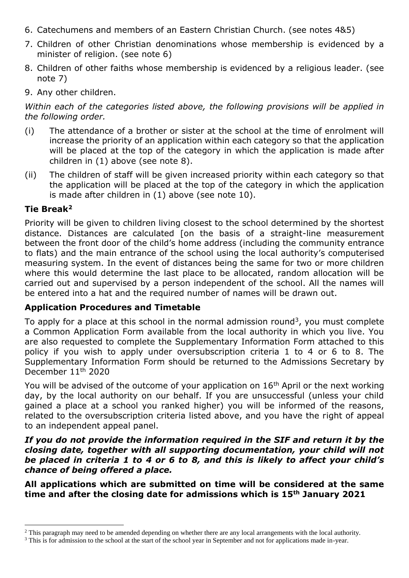- 6. Catechumens and members of an Eastern Christian Church. (see notes 4&5)
- 7. Children of other Christian denominations whose membership is evidenced by a minister of religion. (see note 6)
- 8. Children of other faiths whose membership is evidenced by a religious leader. (see note 7)
- 9. Any other children.

*Within each of the categories listed above, the following provisions will be applied in the following order.*

- (i) The attendance of a brother or sister at the school at the time of enrolment will increase the priority of an application within each category so that the application will be placed at the top of the category in which the application is made after children in (1) above (see note 8).
- (ii) The children of staff will be given increased priority within each category so that the application will be placed at the top of the category in which the application is made after children in (1) above (see note 10).

#### **Tie Break<sup>2</sup>**

Priority will be given to children living closest to the school determined by the shortest distance. Distances are calculated [on the basis of a straight-line measurement between the front door of the child's home address (including the community entrance to flats) and the main entrance of the school using the local authority's computerised measuring system. In the event of distances being the same for two or more children where this would determine the last place to be allocated, random allocation will be carried out and supervised by a person independent of the school. All the names will be entered into a hat and the required number of names will be drawn out.

### **Application Procedures and Timetable**

To apply for a place at this school in the normal admission round<sup>3</sup>, you must complete a Common Application Form available from the local authority in which you live. You are also requested to complete the Supplementary Information Form attached to this policy if you wish to apply under oversubscription criteria 1 to 4 or 6 to 8. The Supplementary Information Form should be returned to the Admissions Secretary by December 11<sup>th</sup> 2020

You will be advised of the outcome of your application on  $16<sup>th</sup>$  April or the next working day, by the local authority on our behalf. If you are unsuccessful (unless your child gained a place at a school you ranked higher) you will be informed of the reasons, related to the oversubscription criteria listed above, and you have the right of appeal to an independent appeal panel.

#### *If you do not provide the information required in the SIF and return it by the closing date, together with all supporting documentation, your child will not be placed in criteria 1 to 4 or 6 to 8, and this is likely to affect your child's chance of being offered a place.*

**All applications which are submitted on time will be considered at the same time and after the closing date for admissions which is 15th January 2021**

**<sup>.</sup>** <sup>2</sup> This paragraph may need to be amended depending on whether there are any local arrangements with the local authority.

<sup>&</sup>lt;sup>3</sup> This is for admission to the school at the start of the school year in September and not for applications made in-year.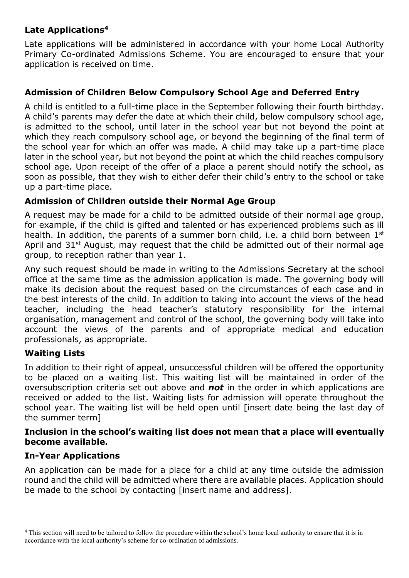## **Late Applications<sup>4</sup>**

Late applications will be administered in accordance with your home Local Authority Primary Co-ordinated Admissions Scheme. You are encouraged to ensure that your application is received on time.

### **Admission of Children Below Compulsory School Age and Deferred Entry**

A child is entitled to a full-time place in the September following their fourth birthday. A child's parents may defer the date at which their child, below compulsory school age, is admitted to the school, until later in the school year but not beyond the point at which they reach compulsory school age, or beyond the beginning of the final term of the school year for which an offer was made. A child may take up a part-time place later in the school year, but not beyond the point at which the child reaches compulsory school age. Upon receipt of the offer of a place a parent should notify the school, as soon as possible, that they wish to either defer their child's entry to the school or take up a part-time place.

### **Admission of Children outside their Normal Age Group**

A request may be made for a child to be admitted outside of their normal age group, for example, if the child is gifted and talented or has experienced problems such as ill health. In addition, the parents of a summer born child, i.e. a child born between 1<sup>st</sup> April and  $31<sup>st</sup>$  August, may request that the child be admitted out of their normal age group, to reception rather than year 1.

Any such request should be made in writing to the Admissions Secretary at the school office at the same time as the admission application is made. The governing body will make its decision about the request based on the circumstances of each case and in the best interests of the child. In addition to taking into account the views of the head teacher, including the head teacher's statutory responsibility for the internal organisation, management and control of the school, the governing body will take into account the views of the parents and of appropriate medical and education professionals, as appropriate.

## **Waiting Lists**

In addition to their right of appeal, unsuccessful children will be offered the opportunity to be placed on a waiting list. This waiting list will be maintained in order of the oversubscription criteria set out above and *not* in the order in which applications are received or added to the list. Waiting lists for admission will operate throughout the school year. The waiting list will be held open until [insert date being the last day of the summer term]

#### **Inclusion in the school's waiting list does not mean that a place will eventually become available.**

## **In-Year Applications**

**.** 

An application can be made for a place for a child at any time outside the admission round and the child will be admitted where there are available places. Application should be made to the school by contacting [insert name and address].

<sup>4</sup> This section will need to be tailored to follow the procedure within the school's home local authority to ensure that it is in accordance with the local authority's scheme for co-ordination of admissions.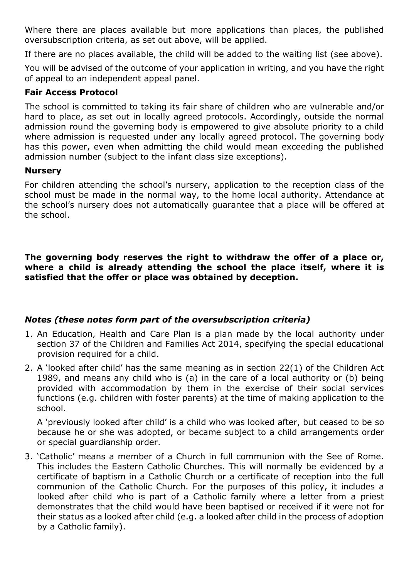Where there are places available but more applications than places, the published oversubscription criteria, as set out above, will be applied.

If there are no places available, the child will be added to the waiting list (see above).

You will be advised of the outcome of your application in writing, and you have the right of appeal to an independent appeal panel.

#### **Fair Access Protocol**

The school is committed to taking its fair share of children who are vulnerable and/or hard to place, as set out in locally agreed protocols. Accordingly, outside the normal admission round the governing body is empowered to give absolute priority to a child where admission is requested under any locally agreed protocol. The governing body has this power, even when admitting the child would mean exceeding the published admission number (subject to the infant class size exceptions).

#### **Nursery**

For children attending the school's nursery, application to the reception class of the school must be made in the normal way, to the home local authority. Attendance at the school's nursery does not automatically guarantee that a place will be offered at the school.

**The governing body reserves the right to withdraw the offer of a place or, where a child is already attending the school the place itself, where it is satisfied that the offer or place was obtained by deception.**

### *Notes (these notes form part of the oversubscription criteria)*

- 1. An Education, Health and Care Plan is a plan made by the local authority under section 37 of the Children and Families Act 2014, specifying the special educational provision required for a child.
- 2. A 'looked after child' has the same meaning as in section 22(1) of the Children Act 1989, and means any child who is (a) in the care of a local authority or (b) being provided with accommodation by them in the exercise of their social services functions (e.g. children with foster parents) at the time of making application to the school.

A 'previously looked after child' is a child who was looked after, but ceased to be so because he or she was adopted, or became subject to a child arrangements order or special guardianship order.

3. 'Catholic' means a member of a Church in full communion with the See of Rome. This includes the Eastern Catholic Churches. This will normally be evidenced by a certificate of baptism in a Catholic Church or a certificate of reception into the full communion of the Catholic Church. For the purposes of this policy, it includes a looked after child who is part of a Catholic family where a letter from a priest demonstrates that the child would have been baptised or received if it were not for their status as a looked after child (e.g. a looked after child in the process of adoption by a Catholic family).